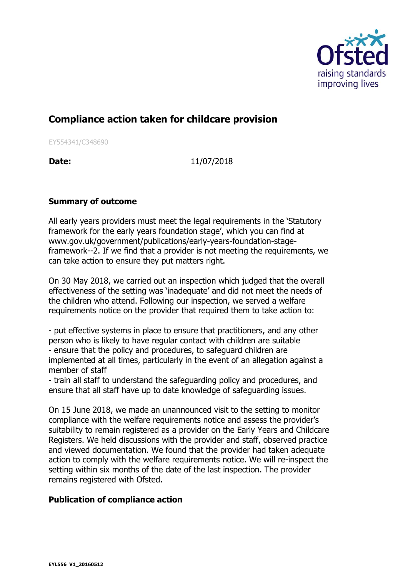

## **Compliance action taken for childcare provision**

EY554341/C348690

**Date:** 11/07/2018

## **Summary of outcome**

All early years providers must meet the legal requirements in the 'Statutory framework for the early years foundation stage', which you can find at www.gov.uk/government/publications/early-years-foundation-stageframework--2. If we find that a provider is not meeting the requirements, we can take action to ensure they put matters right.

On 30 May 2018, we carried out an inspection which judged that the overall effectiveness of the setting was 'inadequate' and did not meet the needs of the children who attend. Following our inspection, we served a welfare requirements notice on the provider that required them to take action to:

- put effective systems in place to ensure that practitioners, and any other person who is likely to have regular contact with children are suitable - ensure that the policy and procedures, to safeguard children are implemented at all times, particularly in the event of an allegation against a member of staff

- train all staff to understand the safeguarding policy and procedures, and ensure that all staff have up to date knowledge of safeguarding issues.

On 15 June 2018, we made an unannounced visit to the setting to monitor compliance with the welfare requirements notice and assess the provider's suitability to remain registered as a provider on the Early Years and Childcare Registers. We held discussions with the provider and staff, observed practice and viewed documentation. We found that the provider had taken adequate action to comply with the welfare requirements notice. We will re-inspect the setting within six months of the date of the last inspection. The provider remains registered with Ofsted.

## **Publication of compliance action**